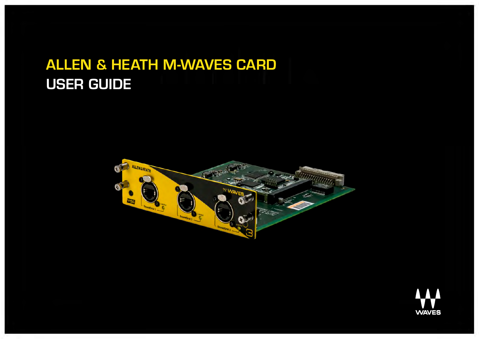# **ALLEN & HEATH M-WAVES CARD USER GUIDE**

1



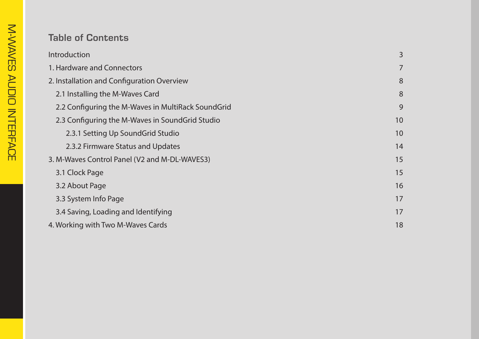## **Table of Contents**

| Introduction                                       | 3              |
|----------------------------------------------------|----------------|
| 1. Hardware and Connectors                         | $\overline{7}$ |
| 2. Installation and Configuration Overview         | 8              |
| 2.1 Installing the M-Waves Card                    | 8              |
| 2.2 Configuring the M-Waves in MultiRack SoundGrid | 9              |
| 2.3 Configuring the M-Waves in SoundGrid Studio    | 10             |
| 2.3.1 Setting Up SoundGrid Studio                  | 10             |
| 2.3.2 Firmware Status and Updates                  | 14             |
| 3. M-Waves Control Panel (V2 and M-DL-WAVES3)      | 15             |
| 3.1 Clock Page                                     | 15             |
| 3.2 About Page                                     | 16             |
| 3.3 System Info Page                               | 17             |
| 3.4 Saving, Loading and Identifying                | 17             |
| 4. Working with Two M-Waves Cards                  | 18             |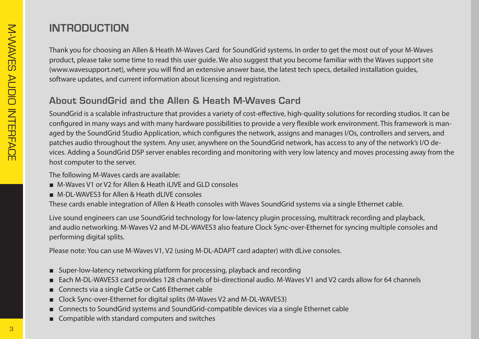# **INTRODUCTION**

Thank you for choosing an Allen & Heath M-Waves Card for SoundGrid systems. In order to get the most out of your M-Waves product, please take some time to read this user quide. We also suggest that you become familiar with the Waves support site (www.wavesupport.net), where you will find an extensive answer base, the latest tech specs, detailed installation quides, software updates, and current information about licensing and registration.

#### **About SoundGrid and the Allen & Heath M-Waves Card**

SoundGrid is a scalable infrastructure that provides a variety of cost-effective, high-quality solutions for recording studios. It can be aged by the SoundGrid Studio Application, which configures the network, assigns and manages I/Os, controllers and servers, and configured in many ways and with many hardware possibilities to provide a very flexible work environment. This framework is manvices. Adding a SoundGrid DSP server enables recording and monitoring with very low latency and moves processing away from the patches audio throughout the system. Any user, anywhere on the SoundGrid network, has access to any of the network's I/O dehost computer to the server.

The following M-Waves cards are available:

- M-Waves V1 or V2 for Allen & Heath iLIVE and GLD consoles
- M-DL-WAVES3 for Allen & Heath dLIVE consoles

These cards enable integration of Allen & Heath consoles with Waves SoundGrid systems via a single Ethernet cable.

Live sound engineers can use SoundGrid technology for low-latency plugin processing, multitrack recording and playback, and audio networking. M-Waves V2 and M-DL-WAVES3 also feature Clock Sync-over-Ethernet for syncing multiple consoles and performing digital splits.

Please note: You can use M-Waves V1, V2 (using M-DL-ADAPT card adapter) with dLive consoles.

- Super-low-latency networking platform for processing, playback and recording
- Each M-DL-WAVES3 card provides 128 channels of bi-directional audio. M-Waves V1 and V2 cards allow for 64 channels
- Connects via a single Cat5e or Cat6 Ethernet cable
- Clock Sync-over-Ethernet for digital splits (M-Waves V2 and M-DL-WAVES3)
- Connects to SoundGrid systems and SoundGrid-compatible devices via a single Ethernet cable
- Compatible with standard computers and switches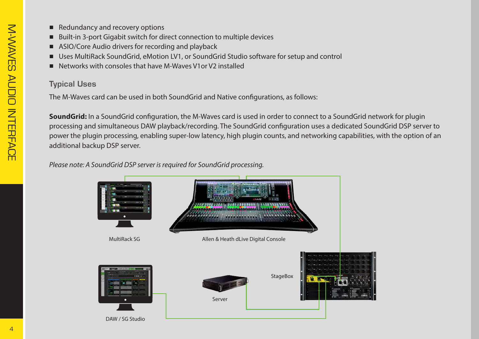- Redundancy and recovery options
- Built-in 3-port Gigabit switch for direct connection to multiple devices
- ASIO/Core Audio drivers for recording and playback
- Uses MultiRack SoundGrid, eMotion LV1, or SoundGrid Studio software for setup and control
- Networks with consoles that have M-Waves V1 or V2 installed

#### **Typical Uses**

The M-Waves card can be used in both SoundGrid and Native configurations, as follows:

**SoundGrid:** In a SoundGrid configuration, the M-Waves card is used in order to connect to a SoundGrid network for plugin processing and simultaneous DAW playback/recording. The SoundGrid configuration uses a dedicated SoundGrid DSP server to power the plugin processing, enabling super-low latency, high plugin counts, and networking capabilities, with the option of an additional backup DSP server.

#### *Please note: A SoundGrid DSP server is required for SoundGrid processing.*

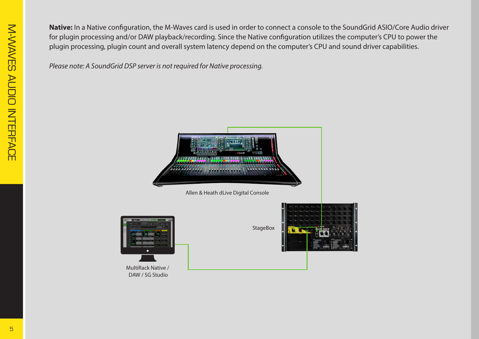Native: In a Native configuration, the M-Waves card is used in order to connect a console to the SoundGrid ASIO/Core Audio driver for plugin processing and/or DAW playback/recording. Since the Native configuration utilizes the computer's CPU to power the plugin processing, plugin count and overall system latency depend on the computer's CPU and sound driver capabilities.

*Please note: A SoundGrid DSP server is not required for Native processing.* 

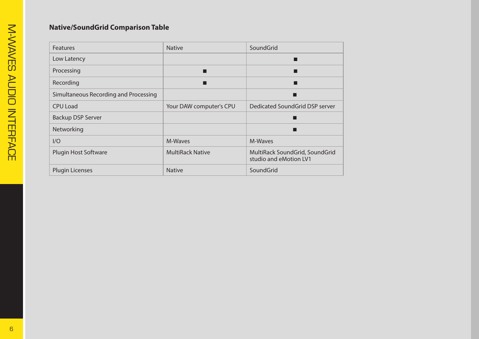#### **Native/SoundGrid Comparison Table**

| <b>Features</b>                       | <b>Native</b>           | SoundGrid                                                |
|---------------------------------------|-------------------------|----------------------------------------------------------|
| Low Latency                           |                         | ш                                                        |
| Processing                            |                         |                                                          |
| Recording                             | Ħ                       | П                                                        |
| Simultaneous Recording and Processing |                         | ▄                                                        |
| CPU Load                              | Your DAW computer's CPU | Dedicated SoundGrid DSP server                           |
| <b>Backup DSP Server</b>              |                         |                                                          |
| Networking                            |                         | ▄                                                        |
| I/O                                   | M-Waves                 | M-Waves                                                  |
| <b>Plugin Host Software</b>           | <b>MultiRack Native</b> | MultiRack SoundGrid, SoundGrid<br>studio and eMotion LV1 |
| <b>Plugin Licenses</b>                | <b>Native</b>           | SoundGrid                                                |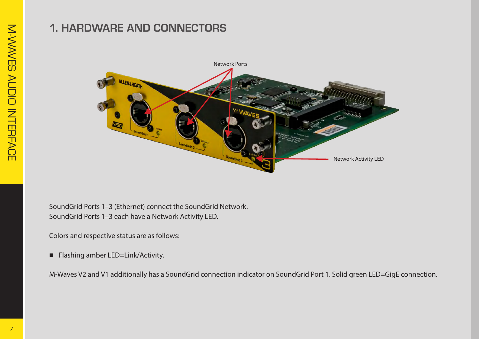## **1. HARDWARE AND CONNECTORS**



SoundGrid Ports 1-3 (Ethernet) connect the SoundGrid Network. SoundGrid Ports 1-3 each have a Network Activity LED.

Colors and respective status are as follows:

■ Flashing amber LED=Link/Activity.

.M-Waves V2 and V1 additionally has a SoundGrid connection indicator on SoundGrid Port 1. Solid green LED=GigE connection.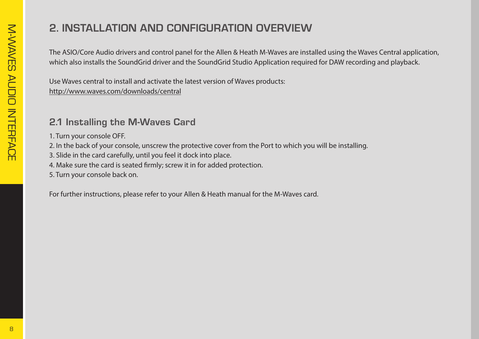# **2. INSTALLATION AND CONFIGURATION OVERVIEW**

The ASIO/Core Audio drivers and control panel for the Allen & Heath M-Waves are installed using the Waves Central application, which also installs the SoundGrid driver and the SoundGrid Studio Application required for DAW recording and playback.

Use Waves central to install and activate the latest version of Waves products: http://www.waves.com/downloads/central

#### **2.1 Installing the M-Waves Card**

- 1. Turn your console OFF.
- 2. In the back of your console, unscrew the protective cover from the Port to which you will be installing.
- 3. Slide in the card carefully, until you feel it dock into place.
- 4. Make sure the card is seated firmly; screw it in for added protection.
- 5. Turn your console back on.

For further instructions, please refer to your Allen & Heath manual for the M-Waves card.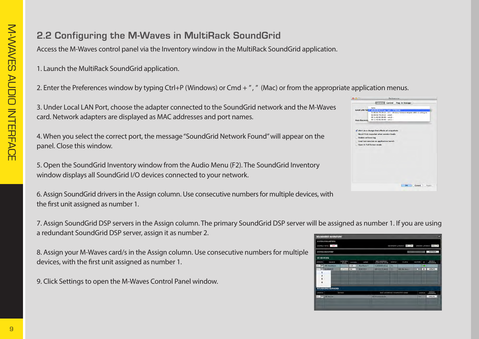## **2.2 Configuring the M-Waves in MultiRack SoundGrid**

Access the M-Waves control panel via the Inventory window in the MultiRack SoundGrid application.

1. Launch the MultiRack SoundGrid application.

2. Enter the Preferences window by typing Ctrl+P (Windows) or Cmd + ", " (Mac) or from the appropriate application menus.

3. Under Local LAN Port, choose the adapter connected to the SoundGrid network and the M-Waves card. Network adapters are displayed as MAC addresses and port names.

4. When you select the correct port, the message "SoundGrid Network Found" will appear on the panel. Close this window.

5. Open the SoundGrid Inventory window from the Audio Menu (F2). The SoundGrid Inventory window displays all SoundGrid I/O devices connected to your network.

6. Assign SoundGrid drivers in the Assign column. Use consecutive numbers for multiple devices, with the first unit assigned as number 1.

7. Assign SoundGrid DSP servers in the Assign column. The primary SoundGrid DSP server will be assigned as number 1. If you are using a redundant SoundGrid DSP server, assign it as number 2.

8. Assign your M-Waves card/s in the Assign column. Use consecutive numbers for multiple devices, with the first unit assigned as number 1.

9. Click Settings to open the M-Waves Control Panel window.

|                      | <b>Ceneral Control Plug-In Manager</b>                              |
|----------------------|---------------------------------------------------------------------|
|                      | None                                                                |
|                      | Local LAN Por / a8:20:66:41:21:aa - en0 - 57765-80                  |
|                      | 5c:96:9d:78:29:cd - en1 - Wireless Network Adapter (802.11 a/b/g/n) |
|                      | 0e:96.9d:78:29:cd - p2p0 -                                          |
|                      | $00:1c:42:00:00:08 -$ which -                                       |
| <b>Host Recovery</b> | $00:1c:42:00:00:09 -$ vnic1 -                                       |
|                      |                                                                     |
|                      | Alert on a change that affects all snapshots                        |
|                      | Recall first snapshot when session loads                            |
| Enable verbose log   |                                                                     |
|                      | Load last session on application launch                             |
|                      | Open in Full Screen mode                                            |
|                      |                                                                     |
|                      |                                                                     |
|                      |                                                                     |
|                      |                                                                     |
|                      |                                                                     |
|                      |                                                                     |
|                      |                                                                     |
|                      |                                                                     |
|                      |                                                                     |
|                      |                                                                     |
|                      |                                                                     |
|                      |                                                                     |
|                      | OK<br>Cancel<br>Apply                                               |

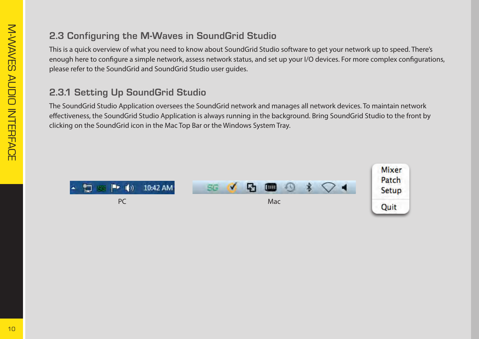## **2.3 Configuring the M-Waves in SoundGrid Studio**

This is a quick overview of what you need to know about SoundGrid Studio software to get your network up to speed. There's enough here to configure a simple network, assess network status, and set up your I/O devices. For more complex configurations, please refer to the SoundGrid and SoundGrid Studio user quides.

#### **2.3.1 Setting Up SoundGrid Studio**

The SoundGrid Studio Application oversees the SoundGrid network and manages all network devices. To maintain network effectiveness, the SoundGrid Studio Application is always running in the background. Bring SoundGrid Studio to the front by clicking on the SoundGrid icon in the Mac Top Bar or the Windows System Tray.

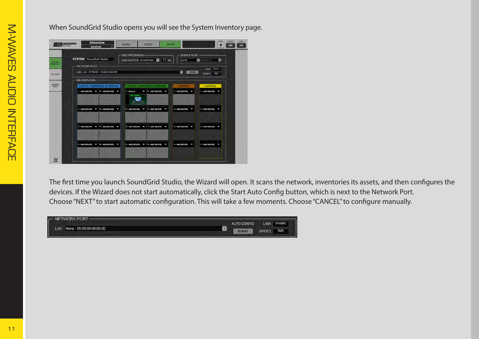| <b>SYSTEM</b> SoundGrid Studio<br>NETWORK PORT- | WSG PROCESSING-<br>WSG BUFFER 80 SAMPLES B 0.8 MS                | <b>SAMPLE RATE</b><br><b>SLAVE</b> | п<br>$\blacksquare$ 196000 Hz |  |
|-------------------------------------------------|------------------------------------------------------------------|------------------------------------|-------------------------------|--|
| LAN en0-57765-B0 - 10:dd:b1:b8:22:f5            |                                                                  | o<br>SCAN                          | LINK Down<br>SPEED N/A        |  |
| <b>DEVICE RACKS</b>                             |                                                                  |                                    |                               |  |
| RACK A HARDWARE VO DEVICES                      | RACK & - SOFTWARE IO DEVICES                                     | <b>SERVERS</b>                     | <b>CONTROL</b>                |  |
| $1 - \text{ADO DEVICE}$<br>5-ADD DEVICE -       | 5 - ADD DEVICE W<br>1 - Driver A<br>ı<br>ON LOCAL<br><b>Form</b> | 1-ADD DEVICE .                     | 1-ADD DEVICE V                |  |
| 2 - ADD DEVICE<br><b>6 - ADD DEVICE</b><br>J    | 6 - ADD DEVICE<br>2 - ADD DEVICE<br>ł.                           | 2-ADD DEVICE <b>W</b><br>J         | 2 - ADD DEVICE                |  |
| 3-ADD DEVICE V<br>7 - ADD DEVICE<br>J           | $3 - ADD D H VICE$<br>7 - ADD DEVICE                             | 3 - ADD DEVICE T<br>ŀ              | 3 - ADD DEVICE T              |  |
| $4 - ADD$ DEVICE $T$<br>8 - ADD DEVICE<br>ŀ     | 4 - ADD DEVICE<br><b>8 - ADD DEVICE</b><br>l                     | 4 - ADD DEVICE -<br>ŀ              | 4 - ADD DEVICE                |  |

When SoundGrid Studio opens you will see the System Inventory page.

The first time you launch SoundGrid Studio, the Wizard will open. It scans the network, inventories its assets, and then configures the devices. If the Wizard does not start automatically, click the Start Auto Config button, which is next to the Network Port. Choose "NEXT" to start automatic configuration. This will take a few moments. Choose "CANCEL" to configure manually.

| - NETWORK PORT-              |              |             |         |
|------------------------------|--------------|-------------|---------|
|                              | AUTO CONFIG  | <b>LINK</b> | Invalid |
| LAN None - 00:00:00:00:00:00 | <b>START</b> |             | N/A     |
|                              |              |             |         |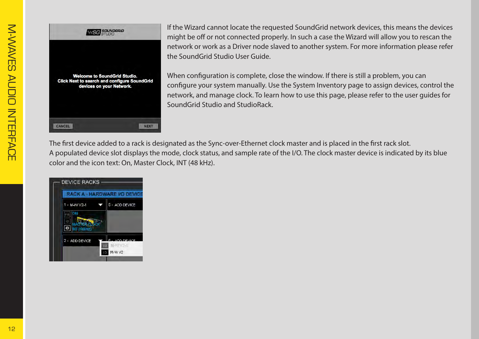

If the Wizard cannot locate the requested SoundGrid network devices, this means the devices might be off or not connected properly. In such a case the Wizard will allow you to rescan the network or work as a Driver node slaved to another system. For more information please refer the SoundGrid Studio User Guide.

When configuration is complete, close the window. If there is still a problem, you can configure your system manually. Use the System Inventory page to assign devices, control the network, and manage clock. To learn how to use this page, please refer to the user quides for SoundGrid Studio and Studio Rack.

The first device added to a rack is designated as the Sync-over-Ethernet clock master and is placed in the first rack slot. A populated device slot displays the mode, clock status, and sample rate of the I/O. The clock master device is indicated by its blue color and the icon text: On, Master Clock, INT (48 kHz).

| <b>RACK A - HARDWARE I/O DEVICE</b> |                |
|-------------------------------------|----------------|
| 1 - M-W V2-1                        | 5 - ADD DEVICE |
| ON                                  |                |
| <b>MASTER CLOCK</b>                 |                |
| NT (48) HZ)                         |                |
| 2 - ADD DEVICE                      | ADD DEVICE     |
|                                     | M-W V2-1<br>ш  |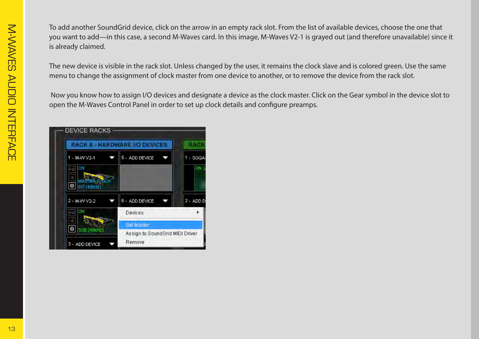To add another SoundGrid device, click on the arrow in an empty rack slot. From the list of available devices, choose the one that you want to add—in this case, a second M-Waves card. In this image, M-Waves V2-1 is grayed out (and therefore unavailable) since it is already claimed.

The new device is visible in the rack slot. Unless changed by the user, it remains the clock slave and is colored green. Use the same . menu to change the assignment of clock master from one device to another, or to remove the device from the rack slot.

Now you know how to assign I/O devices and designate a device as the clock master. Click on the Gear symbol in the device slot to open the M-Waves Control Panel in order to set up clock details and configure preamps.

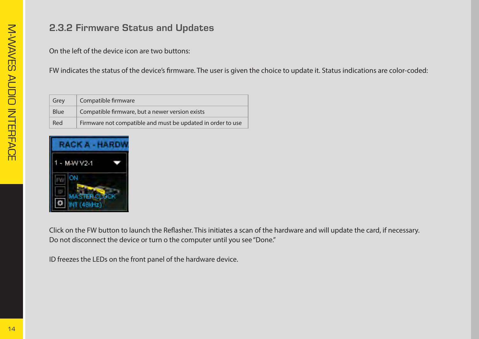#### **2.3.2 Firmware Status and Updates**

On the left of the device icon are two buttons:

FW indicates the status of the device's firmware. The user is given the choice to update it. Status indications are color-coded:

| Grey        | Compatible firmware                                         |
|-------------|-------------------------------------------------------------|
| <b>Blue</b> | Compatible firmware, but a newer version exists             |
| Red         | Firmware not compatible and must be updated in order to use |

| RACK A - HAR           |  |  |
|------------------------|--|--|
| $-M-WV2-1$             |  |  |
| ОN                     |  |  |
| ASTER CLOCK<br>(46kHz) |  |  |

Click on the FW button to launch the Reflasher. This initiates a scan of the hardware and will update the card, if necessary. Do not disconnect the device or turn o the computer until you see "Done."

ID freezes the LEDs on the front panel of the hardware device.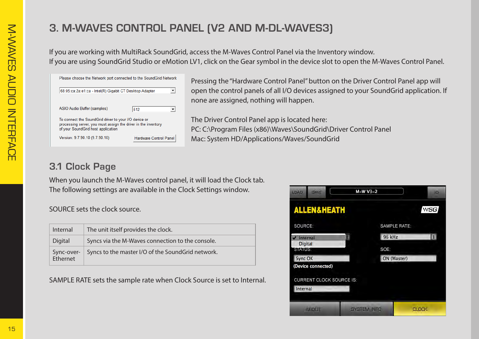# **3. M-WAVES CONTROL PANEL (V2 AND M-DL-WAVES3)**

If you are working with MultiRack SoundGrid, access the M-Waves Control Panel via the Inventory window. If you are using SoundGrid Studio or eMotion LV1, click on the Gear symbol in the device slot to open the M-Waves Control Panel.

| 68:05:ca:2a:e1:ca - Intel(R) Gigabit CT Desktop Adapter                                                                                                       |                        |
|---------------------------------------------------------------------------------------------------------------------------------------------------------------|------------------------|
| ASIO Audio Buffer (samples)                                                                                                                                   | 512                    |
| To connect the SoundGrid driver to your I/O device or<br>processing server, you must assign the driver in the inventory<br>of your SoundGrid host application |                        |
| Version: 9.7.90.10 (9.7.90.10)                                                                                                                                | Hardware Control Panel |

Pressing the "Hardware Control Panel" button on the Driver Control Panel app will open the control panels of all I/O devices assigned to your SoundGrid application. If none are assigned, nothing will happen.

The Driver Control Panel app is located here: PC: C:\Program Files (x86)\Waves\SoundGrid\Driver Control Panel Mac: System HD/Applications/Waves/SoundGrid

### **3.1 Clock Page**

When you launch the M-Waves control panel, it will load the Clock tab. The following settings are available in the Clock Settings window.

SOURCE sets the clock source.

| <b>Internal</b> | The unit itself provides the clock.                          |
|-----------------|--------------------------------------------------------------|
| Digital         | Syncs via the M-Waves connection to the console.             |
| Ethernet        | Sync-over- Syncs to the master I/O of the SoundGrid network. |

SAMPLE RATE sets the sample rate when Clock Source is set to Internal.

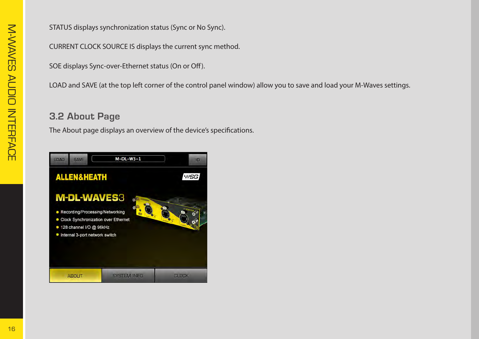STATUS displays synchronization status (Sync or No Sync).

CURRENT CLOCK SOURCE IS displays the current sync method.

SOE displays Sync-over-Ethernet status (On or Off).

LOAD and SAVE (at the top left corner of the control panel window) allow you to save and load your M-Waves settings.

#### **3.2 About Page**

The About page displays an overview of the device's specifications.

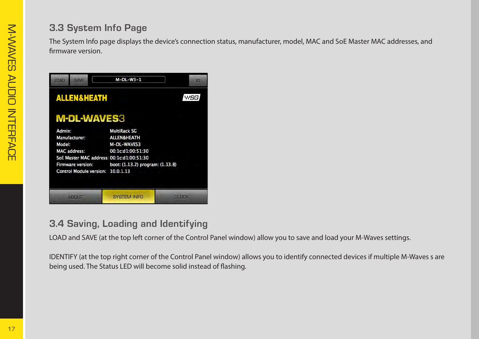#### **3.3 System Info Page**

The System Info page displays the device's connection status, manufacturer, model, MAC and SoE Master MAC addresses, and firmware version.

| LOAD   | <b>SAVE</b>              |                        | $M-DL-W3-1$                               | IĐ           |
|--------|--------------------------|------------------------|-------------------------------------------|--------------|
|        |                          | <b>ALLEN&amp;HEATH</b> |                                           | <b>WSG</b>   |
|        |                          | <b>M-DL-WAVES3</b>     |                                           |              |
| Admin: |                          |                        | <b>MultiRack SG</b>                       |              |
|        | <b>Manufacturer:</b>     |                        | <b>ALLEN&amp;HEATH</b>                    |              |
| Model: |                          |                        | M-DL-WAVES3                               |              |
|        | <b>MAC</b> address:      |                        | 00:1c:d1:00:51:30                         |              |
|        |                          |                        | SoE Master MAC address: 00:1c:d1:00:51:30 |              |
|        | <b>Firmware version:</b> |                        | boot: (1.13.2) program: (1.13.8)          |              |
|        |                          |                        | Control Module version: 10.0.1.13         |              |
|        |                          |                        |                                           |              |
|        |                          |                        |                                           |              |
|        | <b>ABOUT</b>             |                        | <b>SYSTEM INFO</b>                        | <b>CLOCK</b> |

#### **3.4 Saving, Loading and Identifying**

LOAD and SAVE (at the top left corner of the Control Panel window) allow you to save and load your M-Waves settings.

IDENTIFY (at the top right corner of the Control Panel window) allows you to identify connected devices if multiple M-Waves s are being used. The Status LED will become solid instead of flashing.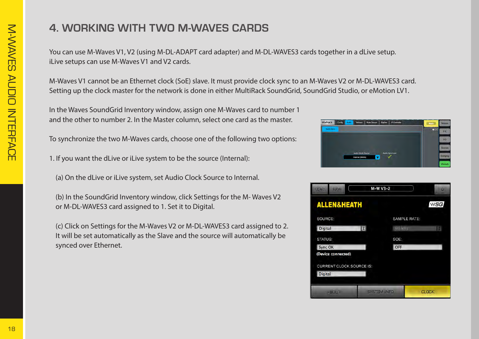# *CARDS WITH TWO M-WAVES CARDS*

You can use M-Waves V1, V2 (using M-DL-ADAPT card adapter) and M-DL-WAVES3 cards together in a dLive setup. iLive setups can use M-Waves V1 and V2 cards.

M-Waves V1 cannot be an Ethernet clock (SoE) slave. It must provide clock sync to an M-Waves V2 or M-DL-WAVES3 card. Setting up the clock master for the network is done in either MultiRack SoundGrid, SoundGrid Studio, or eMotion LV1.

In the Waves SoundGrid Inventory window, assign one M-Waves card to number 1 and the other to number 2. In the Master column, select one card as the master.

To synchronize the two M-Waves cards, choose one of the following two options:

1. If you want the dLive or iLive system to be the source (Internal):

(a) On the dLive or iLive system, set Audio Clock Source to Internal.

(b) In the SoundGrid Inventory window, click Settings for the M-Waves V2 or M-DL-WAVES3 card assigned to 1. Set it to Digital.

(c) Click on Settings for the M-Waves V2 or M-DL-WAVES3 card assigned to 2. It will be set automatically as the Slave and the source will automatically be synced over Ethernet.